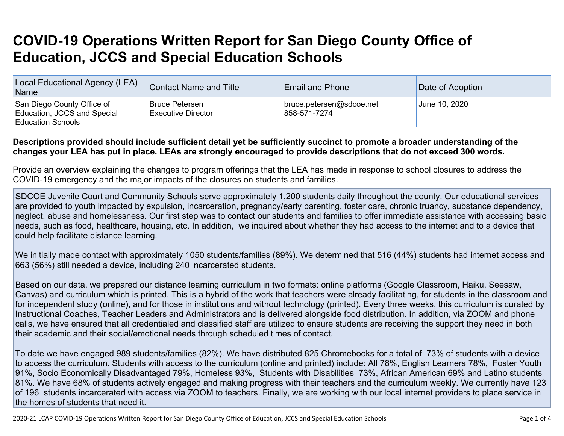## **COVID-19 Operations Written Report for San Diego County Office of Education, JCCS and Special Education Schools**

| Local Educational Agency (LEA)<br><b>Name</b>                                         | <b>Contact Name and Title</b>                      | <b>Email and Phone</b>                   | Date of Adoption |
|---------------------------------------------------------------------------------------|----------------------------------------------------|------------------------------------------|------------------|
| San Diego County Office of<br>Education, JCCS and Special<br><b>Education Schools</b> | <b>Bruce Petersen</b><br><b>Executive Director</b> | bruce.petersen@sdcoe.net<br>858-571-7274 | June 10, 2020    |

## Descriptions provided should include sufficient detail yet be sufficiently succinct to promote a broader understanding of the changes your LEA has put in place. LEAs are strongly encouraged to provide descriptions that do not exceed 300 words.

Provide an overview explaining the changes to program offerings that the LEA has made in response to school closures to address the COVID-19 emergency and the major impacts of the closures on students and families.

SDCOE Juvenile Court and Community Schools serve approximately 1,200 students daily throughout the county. Our educational services are provided to youth impacted by expulsion, incarceration, pregnancy/early parenting, foster care, chronic truancy, substance dependency, neglect, abuse and homelessness. Our first step was to contact our students and families to offer immediate assistance with accessing basic needs, such as food, healthcare, housing, etc. In addition, we inquired about whether they had access to the internet and to a device that could help facilitate distance learning.

We initially made contact with approximately 1050 students/families (89%). We determined that 516 (44%) students had internet access and 663 (56%) still needed a device, including 240 incarcerated students.

Based on our data, we prepared our distance learning curriculum in two formats: online platforms (Google Classroom, Haiku, Seesaw, Canvas) and curriculum which is printed. This is a hybrid of the work that teachers were already facilitating, for students in the classroom and for independent study (online), and for those in institutions and without technology (printed). Every three weeks, this curriculum is curated by Instructional Coaches, Teacher Leaders and Administrators and is delivered alongside food distribution. In addition, via ZOOM and phone calls, we have ensured that all credentialed and classified staff are utilized to ensure students are receiving the support they need in both their academic and their social/emotional needs through scheduled times of contact.

To date we have engaged 989 students/families (82%). We have distributed 825 Chromebooks for a total of 73% of students with a device to access the curriculum. Students with access to the curriculum (online and printed) include: All 78%, English Learners 78%, Foster Youth 91%, Socio Economically Disadvantaged 79%, Homeless 93%, Students with Disabilities 73%, African American 69% and Latino students 81%. We have 68% of students actively engaged and making progress with their teachers and the curriculum weekly. We currently have 123 of 196 students incarcerated with access via ZOOM to teachers. Finally, we are working with our local internet providers to place service in the homes of students that need it.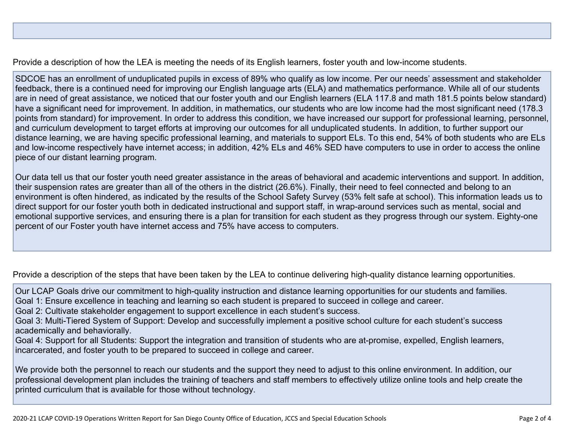Provide a description of how the LEA is meeting the needs of its English learners, foster youth and low-income students.

SDCOE has an enrollment of unduplicated pupils in excess of 89% who qualify as low income. Per our needs' assessment and stakeholder feedback, there is a continued need for improving our English language arts (ELA) and mathematics performance. While all of our students are in need of great assistance, we noticed that our foster youth and our English learners (ELA 117.8 and math 181.5 points below standard) have a significant need for improvement. In addition, in mathematics, our students who are low income had the most significant need (178.3 points from standard) for improvement. In order to address this condition, we have increased our support for professional learning, personnel, and curriculum development to target efforts at improving our outcomes for all unduplicated students. In addition, to further support our distance learning, we are having specific professional learning, and materials to support ELs. To this end, 54% of both students who are ELs and low-income respectively have internet access; in addition, 42% ELs and 46% SED have computers to use in order to access the online piece of our distant learning program.

Our data tell us that our foster youth need greater assistance in the areas of behavioral and academic interventions and support. In addition, their suspension rates are greater than all of the others in the district (26.6%). Finally, their need to feel connected and belong to an environment is often hindered, as indicated by the results of the School Safety Survey (53% felt safe at school). This information leads us to direct support for our foster youth both in dedicated instructional and support staff, in wrap-around services such as mental, social and emotional supportive services, and ensuring there is a plan for transition for each student as they progress through our system. Eighty-one percent of our Foster youth have internet access and 75% have access to computers.

Provide a description of the steps that have been taken by the LEA to continue delivering high-quality distance learning opportunities.

Our LCAP Goals drive our commitment to high-quality instruction and distance learning opportunities for our students and families. Goal 1: Ensure excellence in teaching and learning so each student is prepared to succeed in college and career.

Goal 2: Cultivate stakeholder engagement to support excellence in each student's success.

Goal 3: Multi-Tiered System of Support: Develop and successfully implement a positive school culture for each student's success academically and behaviorally.

Goal 4: Support for all Students: Support the integration and transition of students who are at-promise, expelled, English learners, incarcerated, and foster youth to be prepared to succeed in college and career.

We provide both the personnel to reach our students and the support they need to adjust to this online environment. In addition, our professional development plan includes the training of teachers and staff members to effectively utilize online tools and help create the printed curriculum that is available for those without technology.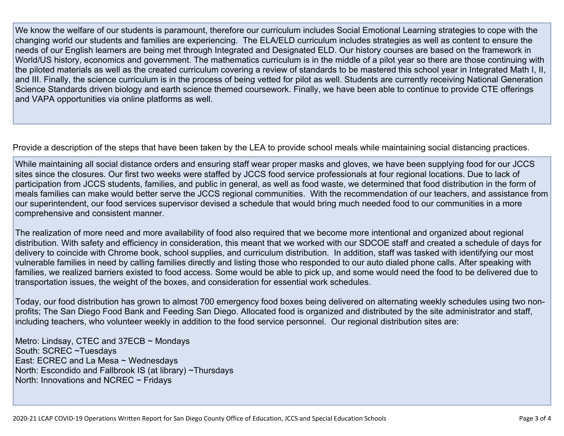We know the welfare of our students is paramount, therefore our curriculum includes Social Emotional Learning strategies to cope with the changing world our students and families are experiencing. The ELA/ELD curriculum includes strategies as well as content to ensure the needs of our English learners are being met through Integrated and Designated ELD. Our history courses are based on the framework in World/US history, economics and government. The mathematics curriculum is in the middle of a pilot year so there are those continuing with the piloted materials as well as the created curriculum covering a review of standards to be mastered this school year in Integrated Math I, II, and III. Finally, the science curriculum is in the process of being vetted for pilot as well. Students are currently receiving National Generation Science Standards driven biology and earth science themed coursework. Finally, we have been able to continue to provide CTE offerings and VAPA opportunities via online platforms as well.

Provide a description of the steps that have been taken by the LEA to provide school meals while maintaining social distancing practices.

While maintaining all social distance orders and ensuring staff wear proper masks and gloves, we have been supplying food for our JCCS sites since the closures. Our first two weeks were staffed by JCCS food service professionals at four regional locations. Due to lack of participation from JCCS students, families, and public in general, as well as food waste, we determined that food distribution in the form of meals families can make would better serve the JCCS regional communities. With the recommendation of our teachers, and assistance from our superintendent, our food services supervisor devised a schedule that would bring much needed food to our communities in a more comprehensive and consistent manner.

The realization of more need and more availability of food also required that we become more intentional and organized about regional distribution. With safety and efficiency in consideration, this meant that we worked with our SDCOE staff and created a schedule of days for delivery to coincide with Chrome book, school supplies, and curriculum distribution. In addition, staff was tasked with identifying our most vulnerable families in need by calling families directly and listing those who responded to our auto dialed phone calls. After speaking with families, we realized barriers existed to food access. Some would be able to pick up, and some would need the food to be delivered due to transportation issues, the weight of the boxes, and consideration for essential work schedules.

Today, our food distribution has grown to almost 700 emergency food boxes being delivered on alternating weekly schedules using two nonprofits; The San Diego Food Bank and Feeding San Diego. Allocated food is organized and distributed by the site administrator and staff, including teachers, who volunteer weekly in addition to the food service personnel. Our regional distribution sites are:

Metro: Lindsay, CTEC and 37ECB ~ Mondays South: SCREC ~Tuesdays East: ECREC and La Mesa ~ Wednesdays North: Escondido and Fallbrook IS (at library) ~Thursdays North: Innovations and NCREC  $\sim$  Fridays